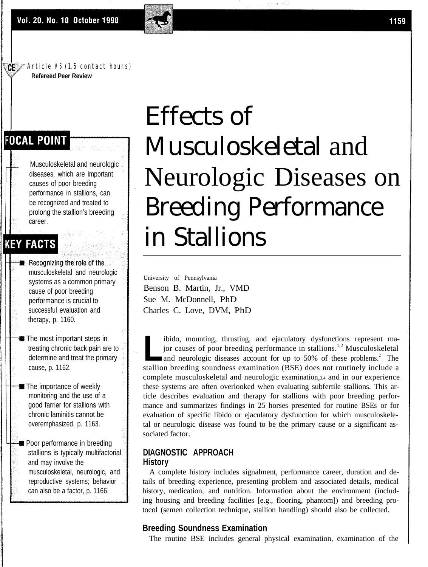#### $\mathbb{C}$  Article #6 (1.5 contact hours) **Refereed Peer Review**

# **FOCAL POINT**

Musculoskeletal and neurologic diseases, which are important causes of poor breeding performance in stallions, can be recognized and treated to prolong the stallion's breeding career.

# **KEY FACTS**

- Recognizing the role of the musculoskeletal and neurologic systems as a common primary cause of poor breeding performance is crucial to successful evaluation and therapy, p. 1160.
- The most important steps in treating chronic back pain are to determine and treat the primary cause, p. 1162.
- The importance of weekly monitoring and the use of a good farrier for stallions with chronic laminitis cannot be overemphasized, p. 1163.
- Poor performance in breeding stallions is typically multifactorial and may involve the musculoskeletal, neurologic, and reproductive systems; behavior can also be a factor, p. 1166.

# Effects of Musculoskeletal and Neurologic Diseases on Breeding Performance in Stallions

University of Pennsylvania Benson B. Martin, Jr., VMD Sue M. McDonnell, PhD Charles C. Love, DVM, PhD

ibido, mounting, thrusting, and ejaculatory dysfunctions represent ma-<br>jor causes of poor breeding performance in stallions.<sup>1,2</sup> Musculoskeletal<br>and neurologic diseases account for up to 50% of these problems.<sup>2</sup> The jor causes of poor breeding performance in stallions.<sup>1,2</sup> Musculoskeletal and neurologic diseases account for up to 50% of these problems.<sup>2</sup> The stallion breeding soundness examination (BSE) does not routinely include a complete musculoskeletal and neurologic examination,3,4 and in our experience these systems are often overlooked when evaluating subfertile stallions. This article describes evaluation and therapy for stallions with poor breeding performance and summarizes findings in 25 horses presented for routine BSEs or for evaluation of specific libido or ejaculatory dysfunction for which musculoskeletal or neurologic disease was found to be the primary cause or a significant associated factor.

### **DIAGNOSTIC APPROACH History**

A complete history includes signalment, performance career, duration and details of breeding experience, presenting problem and associated details, medical history, medication, and nutrition. Information about the environment (including housing and breeding facilities [e.g., flooring, phantom]) and breeding protocol (semen collection technique, stallion handling) should also be collected.

#### **Breeding Soundness Examination**

The routine BSE includes general physical examination, examination of the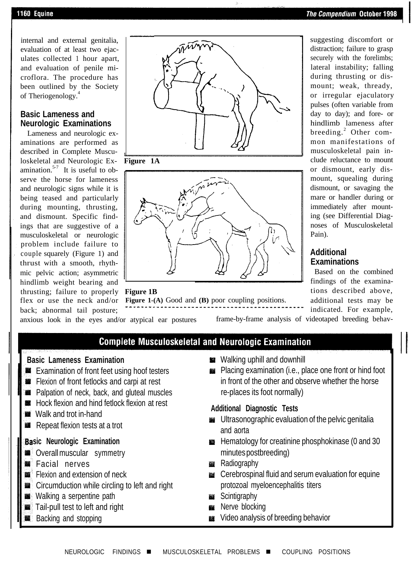suggesting discomfort or distraction; failure to grasp securely with the forelimbs; lateral instability; falling during thrusting or dismount; weak, thready, or irregular ejaculatory pulses (often variable from day to day); and fore- or hindlimb lameness after breeding.<sup>2</sup> Other common manifestations of musculoskeletal pain include reluctance to mount or dismount, early dismount, squealing during dismount, or savaging the mare or handler during or immediately after mounting (see Differential Diagnoses of Musculoskeletal

internal and external genitalia, evaluation of at least two ejaculates collected 1 hour apart, and evaluation of penile microflora. The procedure has been outlined by the Society of Theriogenology.<sup>4</sup>

### **Basic Lameness and Neurologic Examinations**

Lameness and neurologic examinations are performed as described in Complete Muscu loskeletal and Neurologic Ex- **Figure 1A** amination.<sup>5-7</sup> It is useful to observe the horse for lameness and neurologic signs while it is being teased and particularly during mounting, thrusting, and dismount. Specific findings that are suggestive of a musculoskeletal or neurologic problem include failure to couple squarely (Figure 1) and thrust with a smooth, rhythmic pelvic action; asymmetric hindlimb weight bearing and, thrusting; failure to properly **Figure 1B**<br>flex or use the neck and/or **Figure 1**back; abnormal tail posture;







**Figure 1-(A)** Good and **(B)** poor coupling positions.

anxious look in the eyes and/or atypical ear postures frame-by-frame analysis of videotaped breeding behav-

Pain).

**Additional Examinations**

Based on the combined findings of the examinations described above, additional tests may be indicated. For example,

# **Complete Musculoskeletal and Neurologic Examination**

- **EXamination of front feet using hoof testers**
- **Flexion of front fetlocks and carpi at rest**
- **B** Palpation of neck, back, and gluteal muscles
- **WE Hock flexion and hind fetlock flexion at rest**
- 
- 

### **sic Neurologic Examination**

- **Overall muscular symmetry**
- **S** Facial nerves
- **Flexion and extension of neck**
- **EXADLE Circumduction while circling to left and right**
- Walking a serpentine path
- Tail-pull test to left and right
- **Backing and stopping**
- **Basic Lameness Examination** Walking uphill and downhill
	- Placing examination (i.e., place one front or hind foot in front of the other and observe whether the horse re-places its foot normally)

# **EXECUTE AND THE TROCK HEADER IN THE SET OF ADDITIONAL TESTS Additional Diagnostic Tests Additional Diagnostic Tests**

- **Repeat flexion tests at a trot** Ultrasonographic evaluation of the pelvic genitalia Repeat flexion tests at a trot and aorta
	- **Example 20** Hematology for creatinine phosphokinase (0 and 30 minutes postbreeding)
	- **Radiography**
	- **EXECO EXECOMPTER 19 CERED EXECOGLE IN A CERED FOR EXECUTE A** protozoal myeloencephalitis titers
	- **Scintigraphy**
	- **Nerve blocking**
	- Wideo analysis of breeding behavior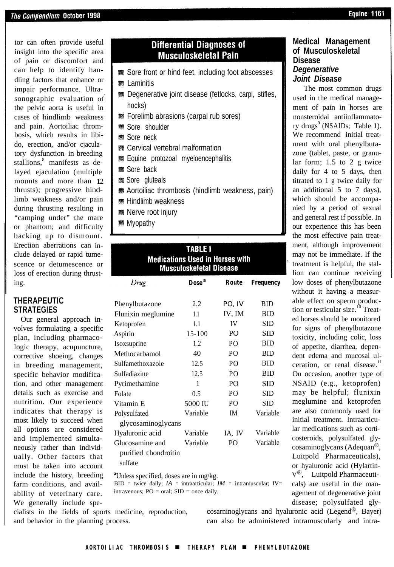ior can often provide useful insight into the specific area of pain or discomfort and can help to identify handling factors that enhance or impair performance. Ultrasonographic evaluation of the pelvic aorta is useful in cases of hindlimb weakness and pain. Aortoiliac thrombosis, which results in libido, erection, and/or cjaculatory dysfunction in breeding stallions,<sup>8</sup> manifests as delayed ejaculation (multiple mounts and more than 12 thrusts); progressive hindlimb weakness and/or pain during thrusting resulting in "camping under" the mare or phantom; and difficulty backing up to dismount. Erection aberrations can include delayed or rapid tumescence or detumescence or loss of erection during thrusting.

### **THERAPEUTIC STRATEGIES**

Our general approach involves formulating a specific plan, including pharmacologic therapy, acupuncture, corrective shoeing, changes in breeding management, specific behavior modification, and other management details such as exercise and nutrition. Our experience indicates that therapy is most likely to succeed when all options are considered and implemented simultaneously rather than individually. Other factors that must be taken into account include the history, breeding farm conditions, and availability of veterinary care. We generally include spe-

## **Differential Diagnoses of Musculoskeletal Pain**

- **. Sore front or hind feet, including foot abscesses**
- **颗 Laminitis**
- Degenerative joint disease (fetlocks, carpi, stifles, hocks)
- **Forelimb abrasions (carpal rub sores)**
- **Sore shoulder**
- **\$8** Sore neck
- Cervical vertebral malformation
- **. Equine protozoal myeloencephalitis**
- **Sore back**
- Sore gluteals
- Aortoiliac thrombosis (hindlimb weakness, pain)
- **Hindlimb weakness**
- **然 Nerve root injury**
- Myopathy

## **TABLE I Medications Used in Horses with Musculoskeletal Disease**

| Drug                                               | Dose <sup>a</sup> | <b>Route</b>   | <b>Frequency</b> |
|----------------------------------------------------|-------------------|----------------|------------------|
| Phenylbutazone                                     | 2.2.              | PO, IV         | <b>BID</b>       |
| Flunixin meglumine                                 | 1.1               | IV. IM         | <b>BID</b>       |
| Ketoprofen                                         | 1.1               | IV             | SID              |
| Aspirin                                            | $15 - 100$        | P <sub>O</sub> | <b>SID</b>       |
| Isoxsuprine                                        | 1.2               | PO.            | <b>BID</b>       |
| Methocarbamol                                      | 40                | P <sub>O</sub> | <b>BID</b>       |
| Sulfamethoxazole                                   | 12.5              | P <sub>O</sub> | <b>BID</b>       |
| Sulfadiazine                                       | 12.5              | P <sub>O</sub> | <b>BID</b>       |
| Pyrimethamine                                      | 1                 | P <sub>O</sub> | SID              |
| Folate                                             | 0.5               | P <sub>O</sub> | SID              |
| Vitamin <sub>E</sub>                               | 5000 IU           | P <sub>O</sub> | <b>SID</b>       |
| Polysulfated<br>glycosaminoglycans                 | Variable          | <b>IM</b>      | Variable         |
| Hyaluronic acid                                    | Variable          | IA, IV         | Variable         |
| Glucosamine and<br>purified chondroitin<br>sulfate | Variable          | P <sub>O</sub> | Variable         |

*a* Unless specified, doses are in mg/kg.

BID = twice daily;  $IA =$  intraarticular;  $IM =$  intramuscular;  $IV =$ intravenous;  $PO = oral$ ;  $SID = once daily$ .

cialists in the fields of sports medicine, reproduction, and behavior in the planning process.

cosarninoglycans and hyaluronic acid (Legend®, Bayer) can also be administered intramuscularly and intra-

#### **Medical Management of Musculoskeletal Disease** *Degenerative Joint Disease*

The most common drugs used in the medical management of pain in horses are nonsteroidal antiinflammatory drugs<sup>9</sup> (NSAIDs; Table 1). We recommend initial treatment with oral phenylbutazone (tablet, paste, or granular form; 1.5 to 2 g twice daily for 4 to 5 days, then titrated to 1 g twice daily for an additional 5 to 7 days), which should be accompanied by a period of sexual and general rest if possible. In our experience this has been the most effective pain treatment, although improvement may not be immediate. If the treatrnent is helpful, the stallion can continue receiving low doses of phenylbutazone without it having a measurable effect on sperm production or testicular size.<sup>10</sup> Treated horses should be monitored for signs of phenylbutazone toxicity, including colic, loss of appetite, diarrhea, dependent edema and mucosal ulceration, or renal disease. $11$ On occasion, another type of NSAID (e.g., ketoprofen) may be helpful; flunixin meglumine and ketoprofen are also commonly used for initial treatment. Intraarticular medications such as corticosteroids, polysulfated glycosaminoglycans (Adequan®, Luitpold Pharmaceuticals), or hyaluronic acid (Hylartin- $V^{\circledR}$ , Luitpold Pharmaceuticals) are useful in the management of degenerative joint disease; polysulfated gly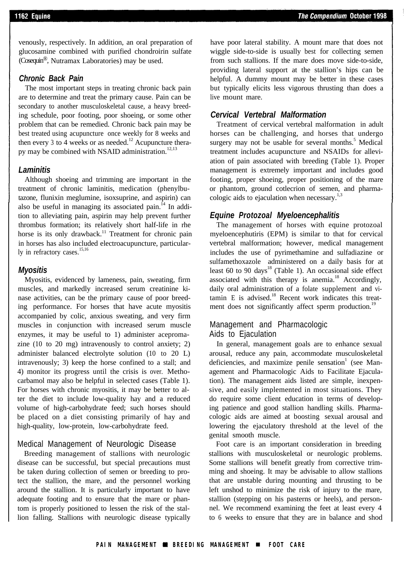venously, respectively. In addition, an oral preparation of glucosamine combined with purified chondroirin sulfate (Cosequin®, Nutramax Laboratories) may be used.

#### *Chronic Back Pain*

The most important steps in treating chronic back pain are to determine and treat the primary cause. Pain can be secondary to another musculoskeletal cause, a heavy breeding schedule, poor footing, poor shoeing, or some other problem that can be remedied. Chronic back pain may be best treated using acupuncture once weekly for 8 weeks and then every 3 to 4 weeks or as needed.<sup>12</sup> Acupuncture therapy may be combined with NSAID administration.<sup>12,13</sup>

#### *Laminitis*

Although shoeing and trimming are important in the treatment of chronic laminitis, medication (phenylbutazone, flunixin meglumine, isoxsuprine, and aspirin) can also be useful in managing its associated pain.<sup> $14$ </sup> In addition to alleviating pain, aspirin may help prevent further thrombus formation; its relatively short half-life in rhe horse is its only drawback.<sup>11</sup> Treatment for chronic pain in horses has also included electroacupuncture, particularly in refractory cases.<sup>15,16</sup>

#### *Myositis*

Myositis, evidenced by lameness, pain, sweating, firm muscles, and markedly increased serum creatinine kinase activities, can be the primary cause of poor breeding performance. For horses that have acute myositis accompanied by colic, anxious sweating, and very firm muscles in conjunction with increased serum muscle enzymes, it may be useful to 1) administer acepromazine (10 to 20 mg) intravenously to control anxiety; 2) administer balanced electrolyte solution (10 to 20 L) intravenously; 3) keep the horse confined to a stall; and 4) monitor its progress until the crisis is over. Methocarbamol may also be helpful in selected cases (Table 1). For horses with chronic myositis, it may be better to alter the diet to include low-quality hay and a reduced volume of high-carbohydrate feed; such horses should be placed on a diet consisting primarily of hay and high-quality, low-protein, low-carbohydrate feed.

#### Medical Management of Neurologic Disease

Breeding management of stallions with neurologic disease can be successful, but special precautions must be taken during collection of semen or breeding to protect the stallion, the mare, and the personnel working around the stallion. It is particularly important to have adequate footing and to ensure that the mare or phantom is properly positioned to lessen the risk of the stallion falling. Stallions with neurologic disease typically have poor lateral stability. A mount mare that does not wiggle side-to-side is usually best for collecting semen from such stallions. If the mare does move side-to-side, providing lateral support at the stallion's hips can be helpful. A dummy mount may be better in these cases but typically elicits less vigorous thrusting than does a live mount mare.

#### *Cervical Vertebral Malformation*

Treatment of cervical vertebral malformation in adult horses can be challenging, and horses that undergo surgery may not be usable for several months.<sup>5</sup> Medical treatment includes acupuncture and NSAIDs for alleviation of pain associated with breeding (Table 1). Proper management is extremely important and includes good footing, proper shoeing, proper positioning of the mare or phantom, ground cotlecrion of semen, and pharmacologic aids to ejaculation when necessary.<sup>1,3</sup>

### *Equine Protozoal Myeloencephalitis*

The management of horses with equine protozoal myeloencephutiris (EPM) is similar to that for cervical vertebral malformation; however, medical management includes the use of pyrimethamine and sulfadiazine or sulfamethoxazole administered on a daily basis for at least 60 to 90 days<sup>18</sup> (Table 1). An occasional side effect associated with this therapy is anemia.<sup>18</sup> Accordingly, daily oral administration of a folate supplement and vitamin E is advised. $18$  Recent work indicates this treatment does not significantly affect sperm production.<sup>19</sup>

#### Management and Pharmacologic Aids to Ejaculation

In general, management goals are to enhance sexual arousal, reduce any pain, accommodate musculoskeletal deficiencies, and maximize penile sensation<sup>1</sup> (see Management and Pharmacologic Aids to Facilitate Ejaculation). The management aids listed are simple, inexpensive, and easily implemented in most situations. They do require some client education in terms of developing patience and good stallion handling skills. Pharmacologic aids are aimed at boosting sexual arousal and lowering the ejaculatory threshold at the level of the genital smooth muscle.

Foot care is an important consideration in breeding stallions with musculoskeletal or neurologic problems. Some stallions will benefit greatly from corrective trimming and shoeing. It may be advisable to allow stallions that are unstable during mounting and thrusting to be left unshod to minimize the risk of injury to the mare, stallion (stepping on his pasterns or heels), and personnel. We recommend examining the feet at least every 4 to 6 weeks to ensure that they are in balance and shod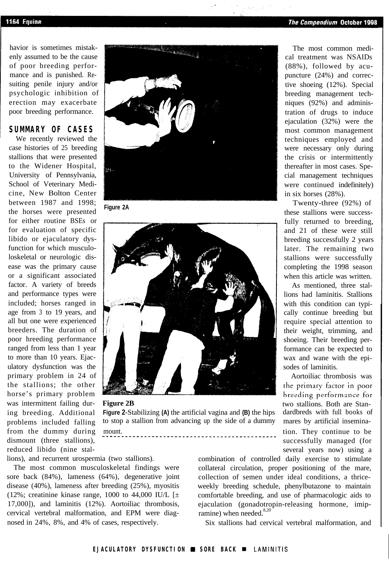havior is sometimes mistakenly assumed to be the cause of poor breeding performance and is punished. Resuiting penile injury and/or psychologic inhibition of erection may exacerbate poor breeding performance.

### **SUMMARY OF CASES**

We recently reviewed the case histories of 25 breeding stallions that were presented to the Widener Hospital, University of Pennsylvania, School of Veterinary Medicine, New Bolton Center between 1987 and 1998; the horses were presented **Figure 2A** for either routine BSEs or for evaluation of specific libido or ejaculatory dysfunction for which musculoloskeletal or neurologic disease was the primary cause or a significant associated factor. A variety of breeds and performance types were included; horses ranged in age from 3 to 19 years, and all but one were experienced breeders. The duration of poor hreeding performance ranged from less than 1 year to more than 10 years. Ejaculatory dysfunction was the primary problem in 24 of the stallions; the other horse's primary problem dismount (three stallions).





ing breeding. Additional **Figure 2**-Stabilizing **(A)** the artificial vagina and **(B)** the hips dardbreds with full books of problems included falling to stop a stallion from advancing up the side of a dummy mares by artificial inseminafrom the dummy during mount. They continue to be the dummy during mount.

The most common musculoskeletal findings were collateral circulation, proper positioning of the mare, sore back (84%), lameness (64%), degenerative joint collection of semen under ideal conditions, a thricedisease (40%), lameness after breeding (25%), myositis weekly breeding schedule, phenylbutazone to maintain (12%; creatinine kinase range, 1000 to 44,000 IU/L  $[\pm \text{ } \quad$  comfortable breeding, and use of pharmacologic aids to 17,000]), and laminitis (12%). Aortoiliac thrombosis, ejaculation (gonadotropin-releasing hormone, imip-<br>cervical vertebral malformation, and EPM were diag-<br>mine) when needed.<sup>8,20</sup> cervical vertebral malformation, and EPM were diagnosed in 24%, 8%, and 4% of cases, respectively. Six stallions had cervical vertebral malformation, and

lions), and recurrent urospermia (two stallions). combination of controlled daily exercise to stimulate

The most common medical treatment was NSAIDs (88%), followed by acupuncture (24%) and corrective shoeing (12%). Special breeding management techniques (92%) and administration of drugs to induce ejaculation (32%) were the most common management techniques employed and were necessary only during the crisis or intermittently thereafter in most cases. Special management techniques were continued indefinitely) in six horses (28%).

Twenty-three (92%) of these stallions were successfully returned to breeding, and 21 of these were still breeding successfully 2 years later. The remaining two stallions were successfully completing the 1998 season when this article was written.

As mentioned, three stallions had laminitis. Stallions with this condition can typically continue breeding but require special attention to their weight, trimming, and shoeing. Their breeding performance can be expected to wax and wane with the episodes of laminitis.

Aortoiliac thrombosis was <sup>I</sup> the primary factor in poor breeding performance for was intermittent failing dur-<br> **Figure 2B** two stallions. Both are Stansuccessfully managed (for reduced libido (nine stal- several years now) using a several years now) using a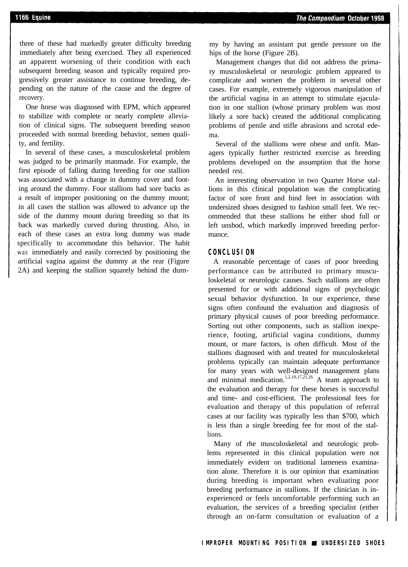three of these had markedly greater difficulty breeding immediately after being exercised. They all experienced an apparent worsening of their condition with each subsequent breeding season and typically required progressively greater assistance to continue breeding, depending on the nature of rhe cause and the degree of recovery.

One horse was diagnosed with EPM, which appeared to stabilize with complete or nearly complete alleviation of clinical signs. The subsequent breeding season proceeded with normal breeding behavior, semen quality, and fertility.

In several of these cases, a musculoskeletal problem was judged to be primarily manmade. For example, the first episode of falling during breeding for one stallion was associated with a change in dummy cover and footing around the dummy. Four stallions had sore backs as a result of improper positioning on the dummy mount; in all cases the stallion was allowed to advance up the side of the dummy mount during breeding so that its back was markedly curved during thrusting. Also, in each of these cases an extra long dummy was made specifically to accommodate this behavior. The habit was immediately and easily corrected by positioning the artificial vagina against the dummy at the rear (Figure 2A) and keeping the stallion squarely behind the dummy by having an assistant put gentle pressure on the hips of the horse (Figure 2B).

Management changes that did not address the primary musculoskeletal or neurologic problem appeared to complicate and worsen the problem in several other cases. For example, extremely vigorous manipulation of the artificial vagina in an attempt to stimulate ejaculation in one stallion (whose primary problem was most likely a sore back) created the additional complicating problems of penile and stifle abrasions and scrotal edema.

Several of the stallions were obese and unfit. Managers typically further restricted exercise as breeding problems developed on the assumption that the horse needed rest.

An interesting observation in two Quarter Horse stallions in this clinical population was the complicating factor of sore front and hind feet in association with undersized shoes designed to fashion small feet. We recommended that these stallions be either shod full or left unshod, which markedly improved breeding performance.

#### **CONCLUSION**

A reasonable percentage of cases of poor breeding performance can be attributed to primary musculoskeletal or neurologic causes. Such stallions are often presented for or with additional signs of psychologic sexual behavior dysfunction. In our experience, these signs often confound the evaluation and diagnosis of primary physical causes of poor breeding performance. Sorting out other components, such as stallion inexperience, footing, artificial vagina conditions, dummy mount, or mare factors, is often difficult. Most of the stallions diagnosed with and treated for musculoskeletal problems typically can maintain adequate performance for many years with well-designed management plans and minimal medication.<sup>1,2,10,17,21,26</sup> A team approach to the evaluation and therapy for these horses is successful and time- and cost-efficient. The professional fees for evaluation and therapy of this population of referral cases at our facility was typically less than \$700, which is less than a single breeding fee for most of the stallions.

Many of rhe musculoskeletal and neurologic problems represented in this clinical population were not immediately evident on traditional lameness examination alone. Therefore it is our opinion that examination during breeding is important when evaluating poor breeding performance in stallions. If the clinician is inexperienced or feels uncomfortable performing such an evaluation, the services of a breeding specialist (either through an on-farm consultation or evaluation of a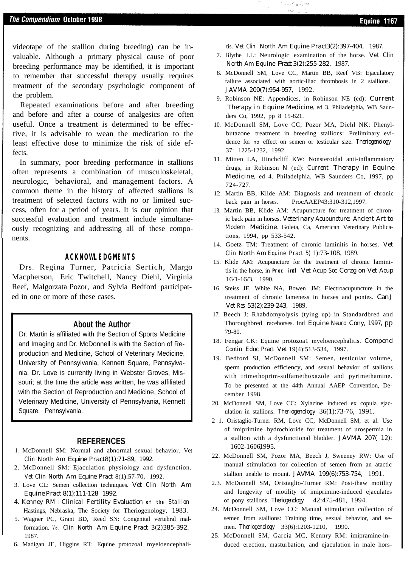videotape of the stallion during breeding) can be invaluable. Although a primary physical cause of poor breeding performance may be identified, it is important to remember that successful therapy usually requires treatment of the secondary psychologic component of the problem.

Repeated examinations before and after breeding and before and after a course of analgesics are often useful. Once a treatment is determined to be effective, it is advisable to wean the medication to the least effective dose to minimize the risk of side effects.

In summary, poor breeding performance in stallions often represents a combination of musculoskeletal, neurologic, behavioral, and management factors. A common theme in the history of affected stallions is treatment of selected factors with no or limited success, often for a period of years. It is our opinion that successful evaluation and treatment include simultaneously recognizing and addressing all of these components.

#### **ACKNOWLEDGMENTS**

Drs. Regina Turner, Patricia Sertich, Margo Macpherson, Eric Twitchell, Nancy Diehl, Virginia Reef, Malgorzata Pozor, and Sylvia Bedford participated in one or more of these cases.

#### **About the Author**

Dr. Martin is affiliated with the Section of Sports Medicine and Imaging and Dr. McDonnell is with the Section of Reproduction and Medicine, School of Veterinary Medicine, University of Pennsylvania, Kennett Square, Pennsylvania. Dr. Love is currently living in Webster Groves, Missouri; at the time the article was written, he was affiliated with the Section of Reproduction and Medicine, School of Veterinary Medicine, University of Pennsylvania, Kennett Square, Pennsylvania.

#### **REFERENCES**

- 1. McDonnell SM: Normal and abnormal sexual behavior. Vet *Clin North Am Equine Pract8(1):71-89, 1992.*
- 2. McDonnell SM: Ejaculation physiology and dysfunction. *Vet Clin North Am Equine Pract* 8(1):57-70, 1992.
- 3. Love CL: Semen collection techniques. *Vet Clin North Am Equine Pract 8(1):111-128 1992.*
- *4. Kenney RM : Clinical Fertility Evaluation of the Stallion* Hastings, Nebraska, The Society for Theriogenology, 1983.
- 5. Wagner PC, Grant BD, Reed SN: Congenital vertehral malformation. Vet *Clin North Am Equine Pract 3(2)385-392,* 1987.
- 6. Madigan JE, Higgins RT: Equine protozoa1 myeloencephali-

tis. *Vet Clin* North Am Equine *Pract3(2):397-404, 1987.* 

Sand Mar

- 7. Blythe LL: Neurologic examination of the horse. *Vet Clin North Am Equine Pract 3(2):255-282,* 1987.
- 8. McDonnell SM, Love CC, Martin BB, Reef VB: Ejaculatory failure associated with aortic-iliac thrombosis in 2 stallions. *JAVMA 200(7):954-957,* 1992.
- 9. Robinson NE: Appendices, in Robinson NE (ed): *Current Therapy in Equine Medicine,* ed 3. Philadelphia, WB Saunders Co, 1992, pp 8 15-821.
- 10. McDonnell SM, Love CC, Pozor MA, Diehl NK: Phenylbutazone treatment in breeding stallions: Preliminary evidence for no effect on semen or testicular size. *Theriogenology* 37: 1225-1232, 1992.
- 11. Mitten LA, Hinchcliff KW: Nonsteroidal anti-inflammatory drugs, in Robinson *N* (ed): *Current Therapy in Equine Medicine,* ed 4. Philadelphia, WB Saunders Co, 1997, pp 724-727.
- 12. Martin BB, Klide AM: Diagnosis and treatment of chronic back pain in horses. ProcAAEP43:310-312,1997.
- 13. Martin BB, Klide AM: Acupuncture for treatment of chronic back pain in horses. *Veterinary Acupuncture: Ancient Art to Modern Medicine.* Goleta, Ca, American Veterinary Publications, 1994, pp 533-542.
- 14. Goetz TM: Treatment of chronic laminitis in horses. *Vet Clin North Am Equine Pract 5(* 1):73-108, 1989.
- 15. Klide AM: Acupuncture for the treatment of chronic laminitis in the horse, in *Proc intl Vet Acup Soc Corzg on Vet Acup* 16/1-16/3, 1990.
- 16. Steiss JE, White NA, Bowen JM: Electroacupuncture in the treatment of chronic lameness in horses and ponies. *Can J Vet Res 53(2):239-243,* 1989.
- 17. Beech J: Rhabdomyolysis (tying up) in Standardbred and Thoroughbred racehorses. Intl *Equine Neuro Cony, 1997,* pp 79-80.
- 18. Fengar CK: Equine protozoa1 myeloencephalitis. *Compend Contin Educ Pract Vet* 19(4):513-534, 1997.
- 19. Bedford SJ, McDonnell SM: Semen, testicular volume, sperm production efficiency, and sexual behavior of stallions with trimethoprim-sulfamethoxazole and pyrimethamine. To be presented at the 44th Annual AAEP Convention, December 1998.
- 20. McDonnell SM, Love CC: Xylazine induced ex copula ejaculation in stallions. *Theriogenology* 36(1):73-76, 1991.
- 2 1. Oristaglio-Turner RM, Love CC, McDonnell SM, et al: Use of imiprimine hydrochloride for treatment of urospermia in a stallion with a dysfunctional bladder. *JAVMA 207( 12):* 1602-16061995.
- 22. McDonnell SM, Pozor MA, Beech J, Sweeney RW: Use of manual stimulation for collection of semen from an atactic stallion unable to mount. *JAVMA 199(6):753-754,* 1991.
- 2.3. McDonnell SM, Oristaglio-Turner RM: Post-thaw motility and longevity of motility of imiprimine-induced ejaculates of pony stallions. *Theriogenology'g* 42:475-481, 1994.
- 24. McDonnell SM, Love CC: Manual stimulation collection of semen from stallions: Training time, sexual behavior, and semen. *Theriogenology* 33(6):1203-1210, 1990.
- 25. McDonnell SM, Garcia MC, Kennry RM: imipramine-induced erection, masturbation, and ejaculation in male hors-